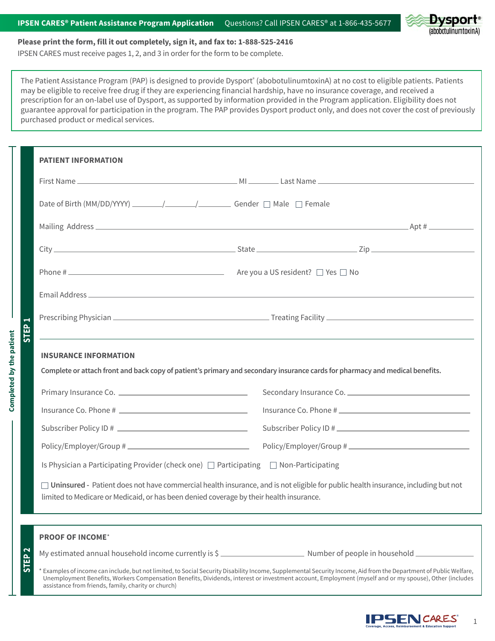

#### **Please print the form, fill it out completely, sign it, and fax to: 1-888-525-2416**

IPSEN CARES must receive pages 1, 2, and 3 in order for the form to be complete.

**Completed by the patient**

Completed by the patient

assistance from friends, family, charity or church)

The Patient Assistance Program (PAP) is designed to provide Dysport<sup>®</sup> (abobotulinumtoxinA) at no cost to eligible patients. Patients may be eligible to receive free drug if they are experiencing financial hardship, have no insurance coverage, and received a prescription for an on-label use of Dysport, as supported by information provided in the Program application. Eligibility does not guarantee approval for participation in the program. The PAP provides Dysport product only, and does not cover the cost of previously purchased product or medical services.

| <b>PATIENT INFORMATION</b>                                                                                                                              |                                                                                                                                                                   |  |  |  |  |
|---------------------------------------------------------------------------------------------------------------------------------------------------------|-------------------------------------------------------------------------------------------------------------------------------------------------------------------|--|--|--|--|
|                                                                                                                                                         |                                                                                                                                                                   |  |  |  |  |
|                                                                                                                                                         |                                                                                                                                                                   |  |  |  |  |
|                                                                                                                                                         |                                                                                                                                                                   |  |  |  |  |
|                                                                                                                                                         |                                                                                                                                                                   |  |  |  |  |
|                                                                                                                                                         |                                                                                                                                                                   |  |  |  |  |
|                                                                                                                                                         |                                                                                                                                                                   |  |  |  |  |
|                                                                                                                                                         |                                                                                                                                                                   |  |  |  |  |
| Complete or attach front and back copy of patient's primary and secondary insurance cards for pharmacy and medical benefits.<br>Secondary Insurance Co. |                                                                                                                                                                   |  |  |  |  |
|                                                                                                                                                         | Insurance Co. Phone #                                                                                                                                             |  |  |  |  |
|                                                                                                                                                         | Subscriber Policy ID #                                                                                                                                            |  |  |  |  |
|                                                                                                                                                         |                                                                                                                                                                   |  |  |  |  |
|                                                                                                                                                         | Is Physician a Participating Provider (check one) $\Box$ Participating $\Box$ Non-Participating                                                                   |  |  |  |  |
| limited to Medicare or Medicaid, or has been denied coverage by their health insurance.                                                                 | Uninsured - Patient does not have commercial health insurance, and is not eligible for public health insurance, including but not                                 |  |  |  |  |
| <b>PROOF OF INCOME*</b>                                                                                                                                 |                                                                                                                                                                   |  |  |  |  |
|                                                                                                                                                         | My estimated annual household income currently is \$                                                                                                              |  |  |  |  |
| STEP <sub>2</sub>                                                                                                                                       | * Examples of income can include, but not limited, to Social Security Disability Income, Supplemental Security Income, Aid from the Department of Public Welfare, |  |  |  |  |

Unemployment Benefits, Workers Compensation Benefits, Dividends, interest or investment account, Employment (myself and or my spouse), Other (includes

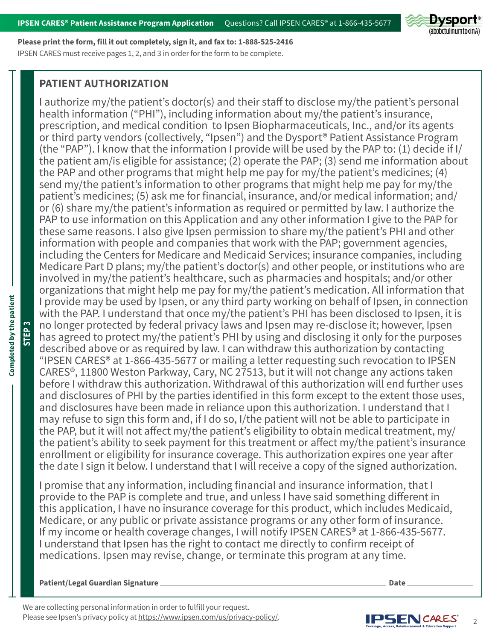

**Please print the form, fill it out completely, sign it, and fax to: 1-888-525-2416** IPSEN CARES must receive pages 1, 2, and 3 in order for the form to be complete.

# **PATIENT AUTHORIZATION**

I authorize my/the patient's doctor(s) and their staff to disclose my/the patient's personal health information ("PHI"), including information about my/the patient's insurance, prescription, and medical condition to Ipsen Biopharmaceuticals, Inc., and/or its agents or third party vendors (collectively, "Ipsen") and the Dysport® Patient Assistance Program (the "PAP"). I know that the information I provide will be used by the PAP to: (1) decide if I/ the patient am/is eligible for assistance; (2) operate the PAP; (3) send me information about the PAP and other programs that might help me pay for my/the patient's medicines; (4) send my/the patient's information to other programs that might help me pay for my/the patient's medicines; (5) ask me for financial, insurance, and/or medical information; and/ or (6) share my/the patient's information as required or permitted by law. I authorize the PAP to use information on this Application and any other information I give to the PAP for these same reasons. I also give Ipsen permission to share my/the patient's PHI and other information with people and companies that work with the PAP; government agencies, including the Centers for Medicare and Medicaid Services; insurance companies, including Medicare Part D plans; my/the patient's doctor(s) and other people, or institutions who are involved in my/the patient's healthcare, such as pharmacies and hospitals; and/or other organizations that might help me pay for my/the patient's medication. All information that I provide may be used by Ipsen, or any third party working on behalf of Ipsen, in connection with the PAP. I understand that once my/the patient's PHI has been disclosed to Ipsen, it is no longer protected by federal privacy laws and Ipsen may re-disclose it; however, Ipsen has agreed to protect my/the patient's PHI by using and disclosing it only for the purposes described above or as required by law. I can withdraw this authorization by contacting "IPSEN CARES® at 1-866-435-5677 or mailing a letter requesting such revocation to IPSEN CARES®, 11800 Weston Parkway, Cary, NC 27513, but it will not change any actions taken before I withdraw this authorization. Withdrawal of this authorization will end further uses and disclosures of PHI by the parties identified in this form except to the extent those uses, and disclosures have been made in reliance upon this authorization. I understand that I may refuse to sign this form and, if I do so, I/the patient will not be able to participate in the PAP, but it will not affect my/the patient's eligibility to obtain medical treatment, my/ the patient's ability to seek payment for this treatment or affect my/the patient's insurance enrollment or eligibility for insurance coverage. This authorization expires one year after the date I sign it below. I understand that I will receive a copy of the signed authorization.

I promise that any information, including financial and insurance information, that I provide to the PAP is complete and true, and unless I have said something different in this application, I have no insurance coverage for this product, which includes Medicaid, Medicare, or any public or private assistance programs or any other form of insurance. If my income or health coverage changes, I will notify IPSEN CARES® at 1-866-435-5677. I understand that Ipsen has the right to contact me directly to confirm receipt of medications. Ipsen may revise, change, or terminate this program at any time.

## **Patient/Legal Guardian Signature**

We are collecting personal information in order to fulfill your request. Please see Ipsen's privacy policy at <https://www.ipsen.com/us/privacy-policy/>.



**STEP 3**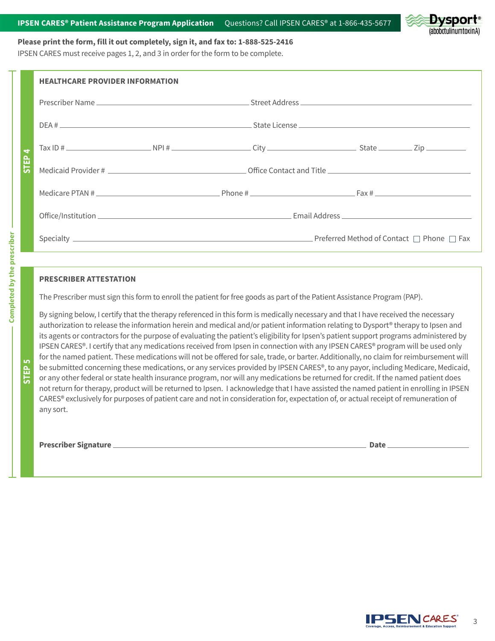

### **Please print the form, fill it out completely, sign it, and fax to: 1-888-525-2416**

IPSEN CARES must receive pages 1, 2, and 3 in order for the form to be complete.

|                                     | <b>HEALTHCARE PROVIDER INFORMATION</b> |  |  |  |  |  |
|-------------------------------------|----------------------------------------|--|--|--|--|--|
| $\blacktriangleleft$<br><b>STEP</b> |                                        |  |  |  |  |  |
|                                     |                                        |  |  |  |  |  |
|                                     |                                        |  |  |  |  |  |
|                                     |                                        |  |  |  |  |  |
|                                     |                                        |  |  |  |  |  |
|                                     |                                        |  |  |  |  |  |
|                                     |                                        |  |  |  |  |  |

## **PRESCRIBER ATTESTATION**

The Prescriber must sign this form to enroll the patient for free goods as part of the Patient Assistance Program (PAP).

By signing below, I certify that the therapy referenced in this form is medically necessary and that I have received the necessary authorization to release the information herein and medical and/or patient information relating to Dysport® therapy to Ipsen and its agents or contractors for the purpose of evaluating the patient's eligibility for Ipsen's patient support programs administered by IPSEN CARES®. I certify that any medications received from Ipsen in connection with any IPSEN CARES® program will be used only for the named patient. These medications will not be offered for sale, trade, or barter. Additionally, no claim for reimbursement will be submitted concerning these medications, or any services provided by IPSEN CARES®, to any payor, including Medicare, Medicaid, or any other federal or state health insurance program, nor will any medications be returned for credit. If the named patient does not return for therapy, product will be returned to Ipsen. I acknowledge that I have assisted the named patient in enrolling in IPSEN CARES® exclusively for purposes of patient care and not in consideration for, expectation of, or actual receipt of remuneration of any sort.

Prescriber Signature **Date Access 2018 19:40 Access 2018** Date 2018 19:40 Access 2018 19:40 Access 2018 19:40 Access 2018 19:40 Access 2018 19:40 Access 20:40 Access 20:40 Access 20:40 Access 20:40 Access 20:40 Access 20:4



**STEP 5**